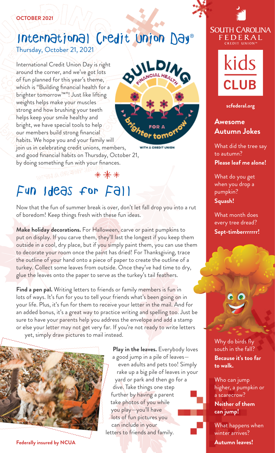#### **OCTOBER 2021**

## Thursday, October 21, 2021 International Credit Union Day®

International Credit Union Day is right around the corner, and we've got lots of fun planned for this year's theme, which is "Building fnancial health for a brighter tomorrow™"! Just like lifting weights helps make your muscles strong and how brushing your teeth helps keep your smile healthy and bright, we have special tools to help our members build strong fnancial habits. We hope you and your family will join us in celebrating credit unions, members, and good fnancial habits on Thursday, October 21, by doing something fun with your fnances.



WITH A CREDIT UNIO

# Fun Ideas for Fall

Now that the fun of summer break is over, don't let fall drop you into a rut of boredom! Keep things fresh with these fun ideas.

\*\*\*

**Make holiday decorations.** For Halloween, carve or paint pumpkins to put on display. If you carve them, they'll last the longest if you keep them outside in a cool, dry place, but if you simply paint them, you can use them to decorate your room once the paint has dried! For Thanksgiving, trace the outline of your hand onto a piece of paper to create the outline of a turkey. Collect some leaves from outside. Once they've had time to dry, glue the leaves onto the paper to serve as the turkey's tail feathers.

**Find a pen pal.** Writing letters to friends or family members is fun in lots of ways. It's fun for you to tell your friends what's been going on in your life. Plus, it's fun for them to receive your letter in the mail. And for an added bonus, it's a great way to practice writing and spelling too. Just be sure to have your parents help you address the envelope and add a stamp or else your letter may not get very far. If you're not ready to write letters yet, simply draw pictures to mail instead.

**Play in the leaves.** Everybody loves

a good jump in a pile of leaves even adults and pets too! Simply rake up a big pile of leaves in your yard or park and then go for a dive. Take things one step further by having a parent take photos of you while you play—you'll have lots of fun pictures you can include in your letters to friends and family.

## **SOUTH CAROLINA** FEDERAL



**[scfederal.org](https://scfederal.org)** 

#### **Awesome Autumn Jokes**

What did the tree say to autumn? **Please leaf me alone!** 

What do you get when you drop a pumpkin? **Squash!** 

What month does every tree dread? **Sept-timberrrrrrr!** 

Why do birds fy south in the fall?

**Because it's too far to walk.** 

Who can jump higher, a pumpkin or a scarecrow?

**Neither of them can jump!** 

What happens when winter arrives? **Autumn leaves!** 

**Federally insured by NCUA**